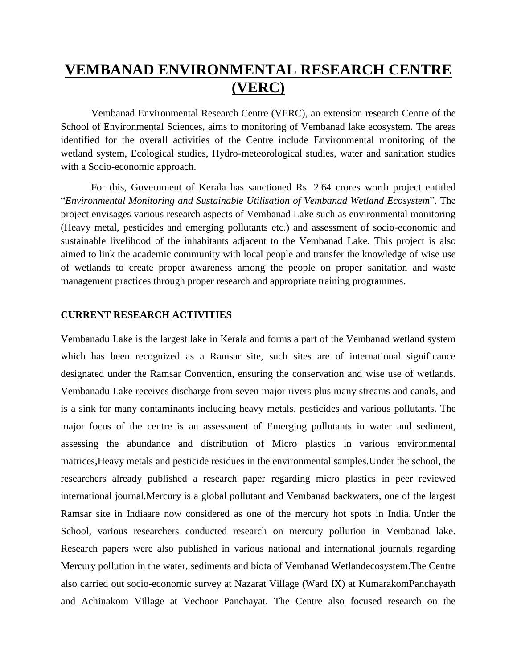## **VEMBANAD ENVIRONMENTAL RESEARCH CENTRE (VERC)**

Vembanad Environmental Research Centre (VERC), an extension research Centre of the School of Environmental Sciences, aims to monitoring of Vembanad lake ecosystem. The areas identified for the overall activities of the Centre include Environmental monitoring of the wetland system, Ecological studies, Hydro-meteorological studies, water and sanitation studies with a Socio-economic approach.

For this, Government of Kerala has sanctioned Rs. 2.64 crores worth project entitled "*Environmental Monitoring and Sustainable Utilisation of Vembanad Wetland Ecosystem*". The project envisages various research aspects of Vembanad Lake such as environmental monitoring (Heavy metal, pesticides and emerging pollutants etc.) and assessment of socio-economic and sustainable livelihood of the inhabitants adjacent to the Vembanad Lake. This project is also aimed to link the academic community with local people and transfer the knowledge of wise use of wetlands to create proper awareness among the people on proper sanitation and waste management practices through proper research and appropriate training programmes.

## **CURRENT RESEARCH ACTIVITIES**

Vembanadu Lake is the largest lake in Kerala and forms a part of the Vembanad wetland system which has been recognized as a Ramsar site, such sites are of international significance designated under the Ramsar Convention, ensuring the conservation and wise use of wetlands. Vembanadu Lake receives discharge from seven major rivers plus many streams and canals, and is a sink for many contaminants including heavy metals, pesticides and various pollutants. The major focus of the centre is an assessment of Emerging pollutants in water and sediment, assessing the abundance and distribution of Micro plastics in various environmental matrices,Heavy metals and pesticide residues in the environmental samples.Under the school, the researchers already published a research paper regarding micro plastics in peer reviewed international journal.Mercury is a global pollutant and Vembanad backwaters, one of the largest Ramsar site in Indiaare now considered as one of the mercury hot spots in India. Under the School, various researchers conducted research on mercury pollution in Vembanad lake. Research papers were also published in various national and international journals regarding Mercury pollution in the water, sediments and biota of Vembanad Wetlandecosystem.The Centre also carried out socio-economic survey at Nazarat Village (Ward IX) at KumarakomPanchayath and Achinakom Village at Vechoor Panchayat. The Centre also focused research on the